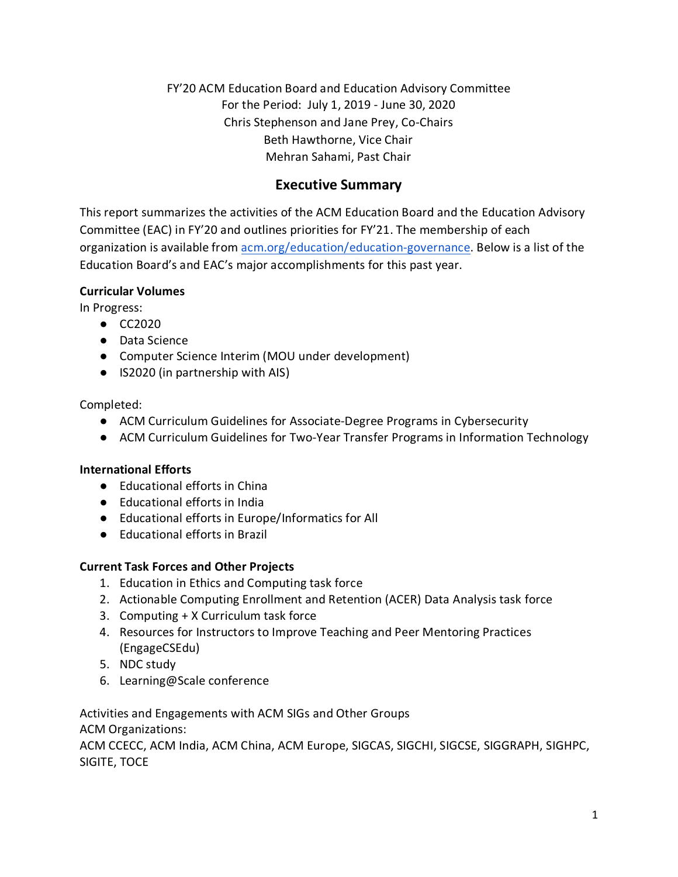FY'20 ACM Education Board and Education Advisory Committee For the Period: July 1, 2019 - June 30, 2020 Chris Stephenson and Jane Prey, Co-Chairs Beth Hawthorne, Vice Chair Mehran Sahami, Past Chair

# **Executive Summary**

This report summarizes the activities of the ACM Education Board and the Education Advisory Committee (EAC) in FY'20 and outlines priorities for FY'21. The membership of each organization is available from **acm.org/education/education-governance**. Below is a list of the Education Board's and EAC's major accomplishments for this past year.

### **Curricular Volumes**

In Progress:

- CC2020
- Data Science
- Computer Science Interim (MOU under development)
- IS2020 (in partnership with AIS)

Completed:

- ACM Curriculum Guidelines for Associate-Degree Programs in Cybersecurity
- ACM Curriculum Guidelines for Two-Year Transfer Programs in Information Technology

### **International Efforts**

- Educational efforts in China
- Educational efforts in India
- Educational efforts in Europe/Informatics for All
- Educational efforts in Brazil

### **Current Task Forces and Other Projects**

- 1. Education in Ethics and Computing task force
- 2. Actionable Computing Enrollment and Retention (ACER) Data Analysis task force
- 3. Computing + X Curriculum task force
- 4. Resources for Instructors to Improve Teaching and Peer Mentoring Practices (EngageCSEdu)
- 5. NDC study
- 6. Learning@Scale conference

Activities and Engagements with ACM SIGs and Other Groups

ACM Organizations:

ACM CCECC, ACM India, ACM China, ACM Europe, SIGCAS, SIGCHI, SIGCSE, SIGGRAPH, SIGHPC, SIGITE, TOCE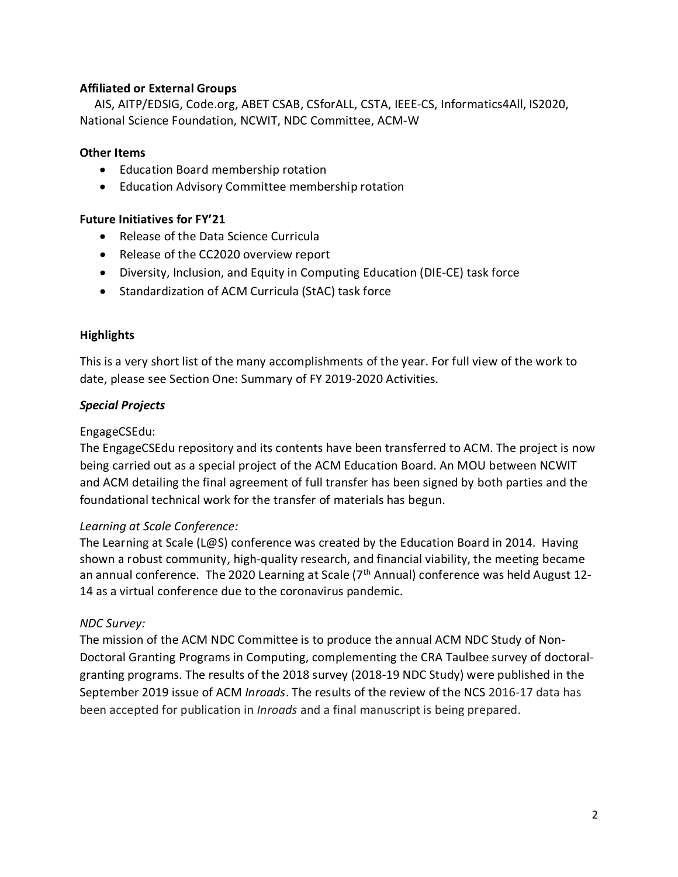### **Affiliated or External Groups**

 AIS, AITP/EDSIG, Code.org, ABET CSAB, CSforALL, CSTA, IEEE-CS, Informatics4All, IS2020, National Science Foundation, NCWIT, NDC Committee, ACM-W

#### **Other Items**

- Education Board membership rotation
- Education Advisory Committee membership rotation

### **Future Initiatives for FY'21**

- Release of the Data Science Curricula
- Release of the CC2020 overview report
- Diversity, Inclusion, and Equity in Computing Education (DIE-CE) task force
- Standardization of ACM Curricula (StAC) task force

### **Highlights**

This is a very short list of the many accomplishments of the year. For full view of the work to date, please see Section One: Summary of FY 2019-2020 Activities.

### *Special Projects*

### EngageCSEdu:

The EngageCSEdu repository and its contents have been transferred to ACM. The project is now being carried out as a special project of the ACM Education Board. An MOU between NCWIT and ACM detailing the final agreement of full transfer has been signed by both parties and the foundational technical work for the transfer of materials has begun.

### *Learning at Scale Conference:*

The Learning at Scale (L@S) conference was created by the Education Board in 2014. Having shown a robust community, high-quality research, and financial viability, the meeting became an annual conference. The 2020 Learning at Scale ( $7<sup>th</sup>$  Annual) conference was held August 12-14 as a virtual conference due to the coronavirus pandemic.

#### *NDC Survey:*

The mission of the ACM NDC Committee is to produce the annual ACM NDC Study of Non-Doctoral Granting Programs in Computing, complementing the CRA Taulbee survey of doctoralgranting programs. The results of the 2018 survey (2018-19 NDC Study) were published in the September 2019 issue of ACM *Inroads*. The results of the review of the NCS 2016-17 data has been accepted for publication in *Inroads* and a final manuscript is being prepared.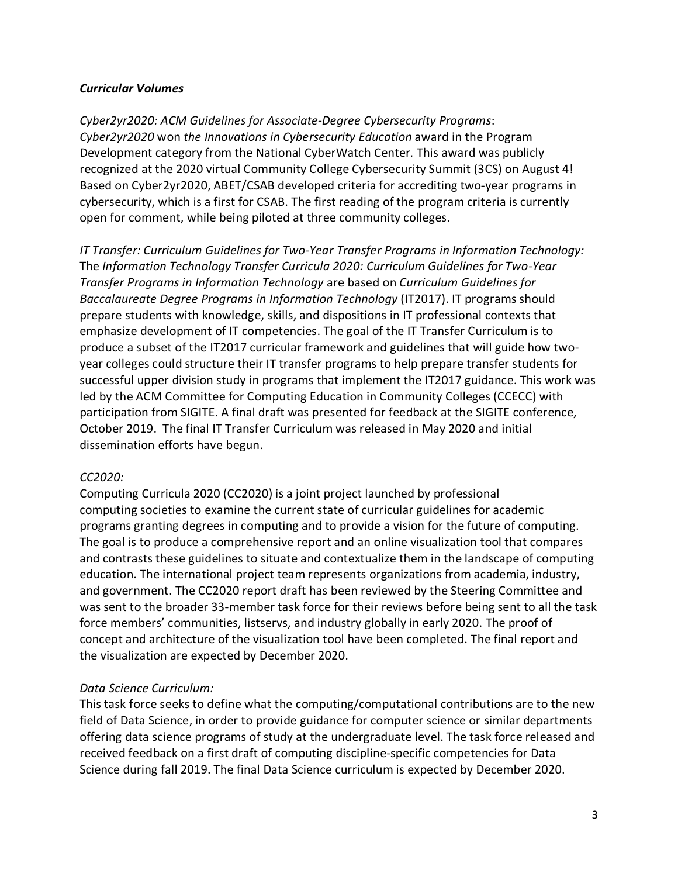#### *Curricular Volumes*

*Cyber2yr2020: ACM Guidelines for Associate-Degree Cybersecurity Programs*: *Cyber2yr2020* won *the Innovations in Cybersecurity Education* award in the Program Development category from the National CyberWatch Center*.* This award was publicly recognized at the 2020 virtual Community College Cybersecurity Summit (3CS) on August 4! Based on Cyber2yr2020, ABET/CSAB developed criteria for accrediting two-year programs in cybersecurity, which is a first for CSAB. The first reading of the program criteria is currently open for comment, while being piloted at three community colleges.

*IT Transfer: Curriculum Guidelines for Two-Year Transfer Programs in Information Technology:* The *Information Technology Transfer Curricula 2020: Curriculum Guidelines for Two-Year Transfer Programs in Information Technology* are based on *Curriculum Guidelines for Baccalaureate Degree Programs in Information Technology* (IT2017). IT programs should prepare students with knowledge, skills, and dispositions in IT professional contexts that emphasize development of IT competencies. The goal of the IT Transfer Curriculum is to produce a subset of the IT2017 curricular framework and guidelines that will guide how twoyear colleges could structure their IT transfer programs to help prepare transfer students for successful upper division study in programs that implement the IT2017 guidance. This work was led by the ACM Committee for Computing Education in Community Colleges (CCECC) with participation from SIGITE. A final draft was presented for feedback at the SIGITE conference, October 2019. The final IT Transfer Curriculum was released in May 2020 and initial dissemination efforts have begun.

#### *CC2020:*

Computing Curricula 2020 (CC2020) is a joint project launched by professional computing societies to examine the current state of curricular guidelines for academic programs granting degrees in computing and to provide a vision for the future of computing. The goal is to produce a comprehensive report and an online visualization tool that compares and contrasts these guidelines to situate and contextualize them in the landscape of computing education. The international project team represents organizations from academia, industry, and government. The CC2020 report draft has been reviewed by the Steering Committee and was sent to the broader 33-member task force for their reviews before being sent to all the task force members' communities, listservs, and industry globally in early 2020. The proof of concept and architecture of the visualization tool have been completed. The final report and the visualization are expected by December 2020.

#### *Data Science Curriculum:*

This task force seeks to define what the computing/computational contributions are to the new field of Data Science, in order to provide guidance for computer science or similar departments offering data science programs of study at the undergraduate level. The task force released and received feedback on a first draft of computing discipline-specific competencies for Data Science during fall 2019. The final Data Science curriculum is expected by December 2020.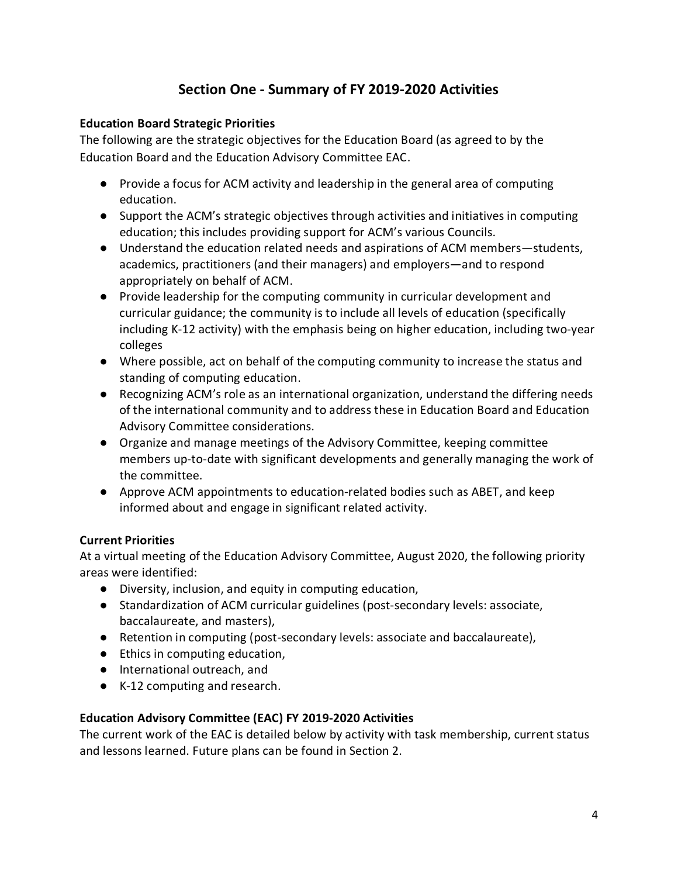# **Section One - Summary of FY 2019-2020 Activities**

### **Education Board Strategic Priorities**

The following are the strategic objectives for the Education Board (as agreed to by the Education Board and the Education Advisory Committee EAC.

- Provide a focus for ACM activity and leadership in the general area of computing education.
- Support the ACM's strategic objectives through activities and initiatives in computing education; this includes providing support for ACM's various Councils.
- Understand the education related needs and aspirations of ACM members—students, academics, practitioners (and their managers) and employers—and to respond appropriately on behalf of ACM.
- Provide leadership for the computing community in curricular development and curricular guidance; the community is to include all levels of education (specifically including K-12 activity) with the emphasis being on higher education, including two-year colleges
- Where possible, act on behalf of the computing community to increase the status and standing of computing education.
- Recognizing ACM's role as an international organization, understand the differing needs of the international community and to address these in Education Board and Education Advisory Committee considerations.
- Organize and manage meetings of the Advisory Committee, keeping committee members up-to-date with significant developments and generally managing the work of the committee.
- Approve ACM appointments to education-related bodies such as ABET, and keep informed about and engage in significant related activity.

### **Current Priorities**

At a virtual meeting of the Education Advisory Committee, August 2020, the following priority areas were identified:

- Diversity, inclusion, and equity in computing education,
- Standardization of ACM curricular guidelines (post-secondary levels: associate, baccalaureate, and masters),
- Retention in computing (post-secondary levels: associate and baccalaureate),
- Ethics in computing education,
- International outreach, and
- K-12 computing and research.

### **Education Advisory Committee (EAC) FY 2019-2020 Activities**

The current work of the EAC is detailed below by activity with task membership, current status and lessons learned. Future plans can be found in Section 2.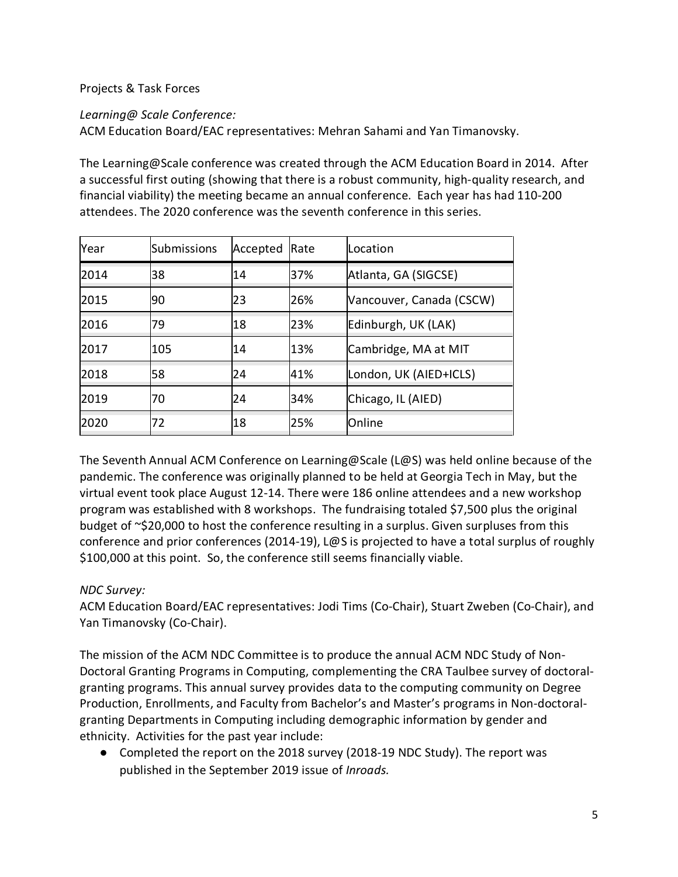### Projects & Task Forces

### *Learning@ Scale Conference:*

ACM Education Board/EAC representatives: Mehran Sahami and Yan Timanovsky.

The Learning@Scale conference was created through the ACM Education Board in 2014. After a successful first outing (showing that there is a robust community, high-quality research, and financial viability) the meeting became an annual conference. Each year has had 110-200 attendees. The 2020 conference was the seventh conference in this series.

| Year | <b>Submissions</b> | Accepted | Rate | Location                 |  |
|------|--------------------|----------|------|--------------------------|--|
| 2014 | 38                 | 14       | 37%  | Atlanta, GA (SIGCSE)     |  |
| 2015 | 90                 | 23       | 26%  | Vancouver, Canada (CSCW) |  |
| 2016 | 79                 | 18       | 23%  | Edinburgh, UK (LAK)      |  |
| 2017 | 105                | 14       | 13%  | Cambridge, MA at MIT     |  |
| 2018 | 58                 | 24       | 41%  | London, UK (AIED+ICLS)   |  |
| 2019 | 70                 | 24       | 34%  | Chicago, IL (AIED)       |  |
| 2020 | 72                 | 18       | 25%  | <b>Online</b>            |  |

The Seventh Annual ACM Conference on Learning@Scale (L@S) was held online because of the pandemic. The conference was originally planned to be held at Georgia Tech in May, but the virtual event took place August 12-14. There were 186 online attendees and a new workshop program was established with 8 workshops. The fundraising totaled \$7,500 plus the original budget of ~\$20,000 to host the conference resulting in a surplus. Given surpluses from this conference and prior conferences (2014-19), L@S is projected to have a total surplus of roughly \$100,000 at this point. So, the conference still seems financially viable.

# *NDC Survey:*

ACM Education Board/EAC representatives: Jodi Tims (Co-Chair), Stuart Zweben (Co-Chair), and Yan Timanovsky (Co-Chair).

The mission of the ACM NDC Committee is to produce the annual ACM NDC Study of Non-Doctoral Granting Programs in Computing, complementing the CRA Taulbee survey of doctoralgranting programs. This annual survey provides data to the computing community on Degree Production, Enrollments, and Faculty from Bachelor's and Master's programs in Non-doctoralgranting Departments in Computing including demographic information by gender and ethnicity. Activities for the past year include:

● Completed the report on the 2018 survey (2018-19 NDC Study). The report was published in the September 2019 issue of *Inroads.*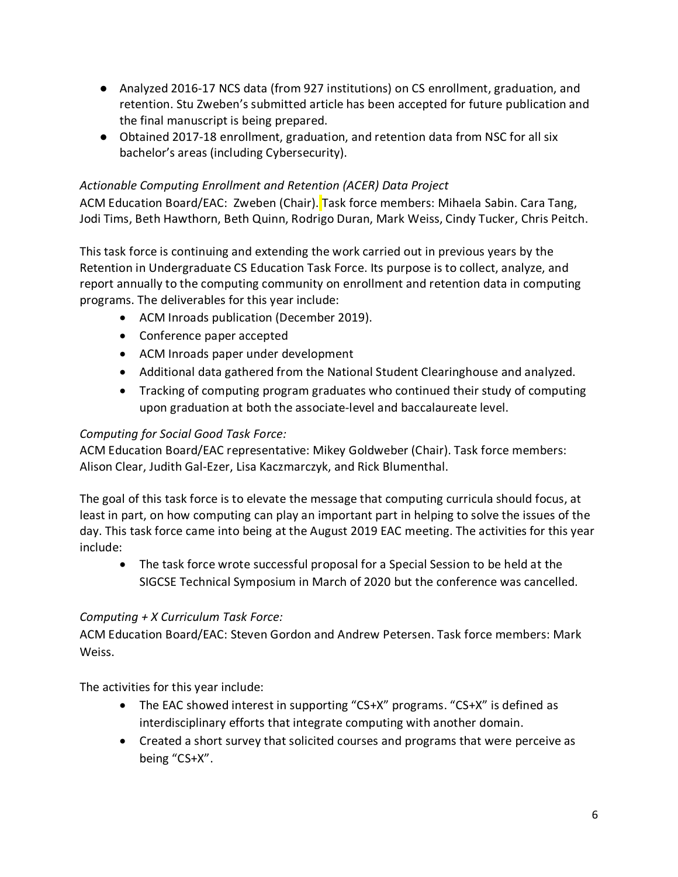- Analyzed 2016-17 NCS data (from 927 institutions) on CS enrollment, graduation, and retention. Stu Zweben's submitted article has been accepted for future publication and the final manuscript is being prepared.
- Obtained 2017-18 enrollment, graduation, and retention data from NSC for all six bachelor's areas (including Cybersecurity).

# *Actionable Computing Enrollment and Retention (ACER) Data Project*

ACM Education Board/EAC: Zweben (Chair). Task force members: Mihaela Sabin. Cara Tang, Jodi Tims, Beth Hawthorn, Beth Quinn, Rodrigo Duran, Mark Weiss, Cindy Tucker, Chris Peitch.

This task force is continuing and extending the work carried out in previous years by the Retention in Undergraduate CS Education Task Force. Its purpose is to collect, analyze, and report annually to the computing community on enrollment and retention data in computing programs. The deliverables for this year include:

- ACM Inroads publication (December 2019).
- Conference paper accepted
- ACM Inroads paper under development
- Additional data gathered from the National Student Clearinghouse and analyzed.
- Tracking of computing program graduates who continued their study of computing upon graduation at both the associate-level and baccalaureate level.

# *Computing for Social Good Task Force:*

ACM Education Board/EAC representative: Mikey Goldweber (Chair). Task force members: Alison Clear, Judith Gal-Ezer, Lisa Kaczmarczyk, and Rick Blumenthal.

The goal of this task force is to elevate the message that computing curricula should focus, at least in part, on how computing can play an important part in helping to solve the issues of the day. This task force came into being at the August 2019 EAC meeting. The activities for this year include:

• The task force wrote successful proposal for a Special Session to be held at the SIGCSE Technical Symposium in March of 2020 but the conference was cancelled.

# *Computing + X Curriculum Task Force:*

ACM Education Board/EAC: Steven Gordon and Andrew Petersen. Task force members: Mark Weiss.

The activities for this year include:

- The EAC showed interest in supporting "CS+X" programs. "CS+X" is defined as interdisciplinary efforts that integrate computing with another domain.
- Created a short survey that solicited courses and programs that were perceive as being "CS+X".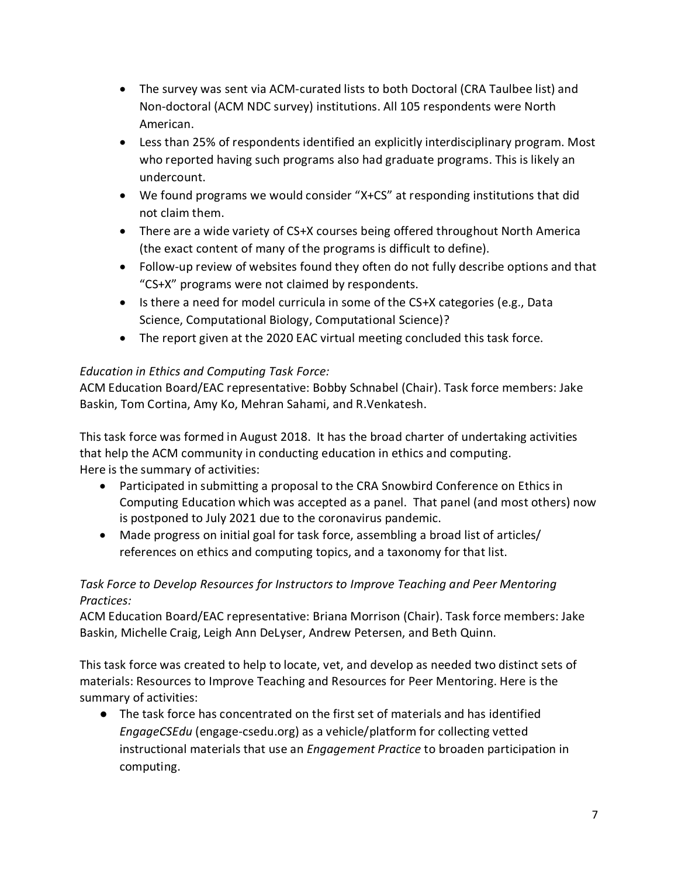- The survey was sent via ACM-curated lists to both Doctoral (CRA Taulbee list) and Non-doctoral (ACM NDC survey) institutions. All 105 respondents were North American.
- Less than 25% of respondents identified an explicitly interdisciplinary program. Most who reported having such programs also had graduate programs. This is likely an undercount.
- We found programs we would consider "X+CS" at responding institutions that did not claim them.
- There are a wide variety of CS+X courses being offered throughout North America (the exact content of many of the programs is difficult to define).
- Follow-up review of websites found they often do not fully describe options and that "CS+X" programs were not claimed by respondents.
- Is there a need for model curricula in some of the CS+X categories (e.g., Data Science, Computational Biology, Computational Science)?
- The report given at the 2020 EAC virtual meeting concluded this task force.

# *Education in Ethics and Computing Task Force:*

ACM Education Board/EAC representative: Bobby Schnabel (Chair). Task force members: Jake Baskin, Tom Cortina, Amy Ko, Mehran Sahami, and R.Venkatesh.

This task force was formed in August 2018. It has the broad charter of undertaking activities that help the ACM community in conducting education in ethics and computing. Here is the summary of activities:

- Participated in submitting a proposal to the CRA Snowbird Conference on Ethics in Computing Education which was accepted as a panel. That panel (and most others) now is postponed to July 2021 due to the coronavirus pandemic.
- Made progress on initial goal for task force, assembling a broad list of articles/ references on ethics and computing topics, and a taxonomy for that list.

# *Task Force to Develop Resources for Instructors to Improve Teaching and Peer Mentoring Practices:*

ACM Education Board/EAC representative: Briana Morrison (Chair). Task force members: Jake Baskin, Michelle Craig, Leigh Ann DeLyser, Andrew Petersen, and Beth Quinn.

This task force was created to help to locate, vet, and develop as needed two distinct sets of materials: Resources to Improve Teaching and Resources for Peer Mentoring. Here is the summary of activities:

● The task force has concentrated on the first set of materials and has identified *EngageCSEdu* (engage-csedu.org) as a vehicle/platform for collecting vetted instructional materials that use an *Engagement Practice* to broaden participation in computing.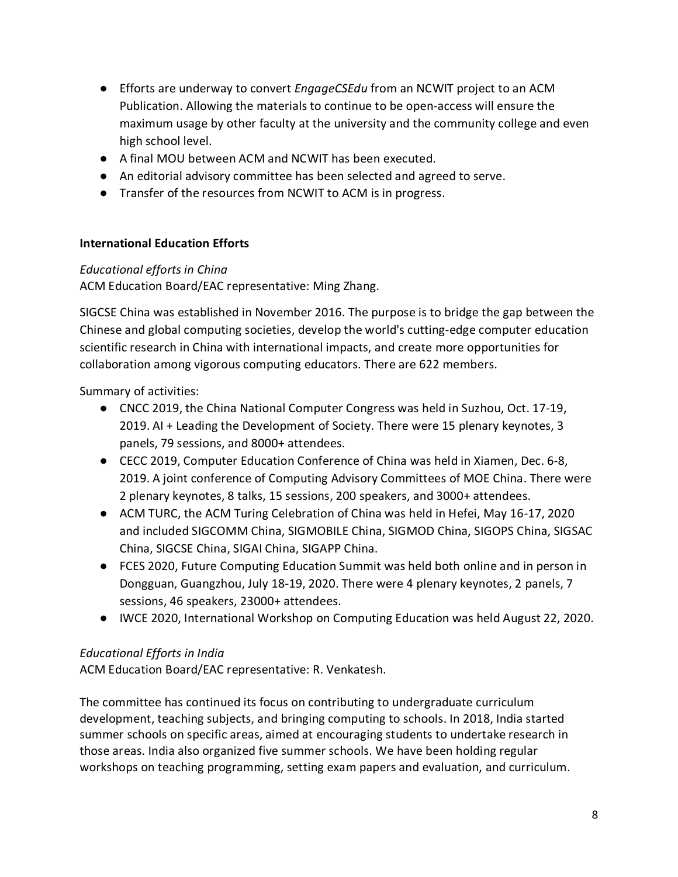- Efforts are underway to convert *EngageCSEdu* from an NCWIT project to an ACM Publication. Allowing the materials to continue to be open-access will ensure the maximum usage by other faculty at the university and the community college and even high school level.
- A final MOU between ACM and NCWIT has been executed.
- An editorial advisory committee has been selected and agreed to serve.
- Transfer of the resources from NCWIT to ACM is in progress.

# **International Education Efforts**

### *Educational efforts in China*

ACM Education Board/EAC representative: Ming Zhang.

SIGCSE China was established in November 2016. The purpose is to bridge the gap between the Chinese and global computing societies, develop the world's cutting-edge computer education scientific research in China with international impacts, and create more opportunities for collaboration among vigorous computing educators. There are 622 members.

Summary of activities:

- CNCC 2019, the China National Computer Congress was held in Suzhou, Oct. 17-19, 2019. AI + Leading the Development of Society. There were 15 plenary keynotes, 3 panels, 79 sessions, and 8000+ attendees.
- CECC 2019, Computer Education Conference of China was held in Xiamen, Dec. 6-8, 2019. A joint conference of Computing Advisory Committees of MOE China. There were 2 plenary keynotes, 8 talks, 15 sessions, 200 speakers, and 3000+ attendees.
- ACM TURC, the ACM Turing Celebration of China was held in Hefei, May 16-17, 2020 and included SIGCOMM China, SIGMOBILE China, SIGMOD China, SIGOPS China, SIGSAC China, SIGCSE China, SIGAI China, SIGAPP China.
- FCES 2020, Future Computing Education Summit was held both online and in person in Dongguan, Guangzhou, July 18-19, 2020. There were 4 plenary keynotes, 2 panels, 7 sessions, 46 speakers, 23000+ attendees.
- IWCE 2020, International Workshop on Computing Education was held August 22, 2020.

# *Educational Efforts in India*

ACM Education Board/EAC representative: R. Venkatesh.

The committee has continued its focus on contributing to undergraduate curriculum development, teaching subjects, and bringing computing to schools. In 2018, India started summer schools on specific areas, aimed at encouraging students to undertake research in those areas. India also organized five summer schools. We have been holding regular workshops on teaching programming, setting exam papers and evaluation, and curriculum.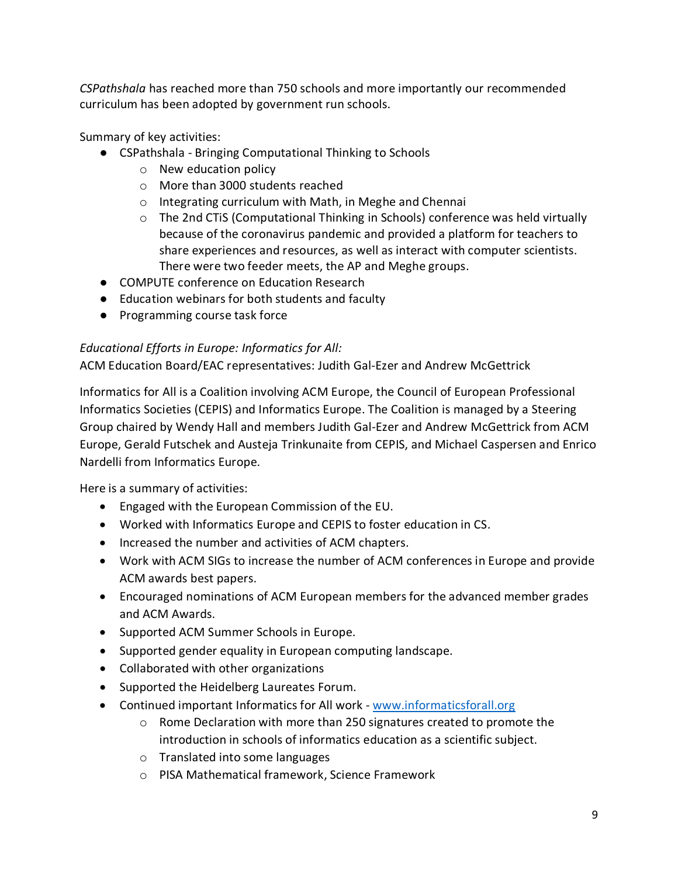*CSPathshala* has reached more than 750 schools and more importantly our recommended curriculum has been adopted by government run schools.

Summary of key activities:

- CSPathshala Bringing Computational Thinking to Schools
	- o New education policy
	- o More than 3000 students reached
	- o Integrating curriculum with Math, in Meghe and Chennai
	- $\circ$  The 2nd CTiS (Computational Thinking in Schools) conference was held virtually because of the coronavirus pandemic and provided a platform for teachers to share experiences and resources, as well as interact with computer scientists. There were two feeder meets, the AP and Meghe groups.
- COMPUTE conference on Education Research
- Education webinars for both students and faculty
- Programming course task force

# *Educational Efforts in Europe: Informatics for All:*

ACM Education Board/EAC representatives: Judith Gal-Ezer and Andrew McGettrick

Informatics for All is a Coalition involving ACM Europe, the Council of European Professional Informatics Societies (CEPIS) and Informatics Europe. The Coalition is managed by a Steering Group chaired by Wendy Hall and members Judith Gal-Ezer and Andrew McGettrick from ACM Europe, Gerald Futschek and Austeja Trinkunaite from CEPIS, and Michael Caspersen and Enrico Nardelli from Informatics Europe.

Here is a summary of activities:

- Engaged with the European Commission of the EU.
- Worked with Informatics Europe and CEPIS to foster education in CS.
- Increased the number and activities of ACM chapters.
- Work with ACM SIGs to increase the number of ACM conferences in Europe and provide ACM awards best papers.
- Encouraged nominations of ACM European members for the advanced member grades and ACM Awards.
- Supported ACM Summer Schools in Europe.
- Supported gender equality in European computing landscape.
- Collaborated with other organizations
- Supported the Heidelberg Laureates Forum.
- Continued important Informatics for All work www.informaticsforall.org
	- $\circ$  Rome Declaration with more than 250 signatures created to promote the introduction in schools of informatics education as a scientific subject.
	- o Translated into some languages
	- o PISA Mathematical framework, Science Framework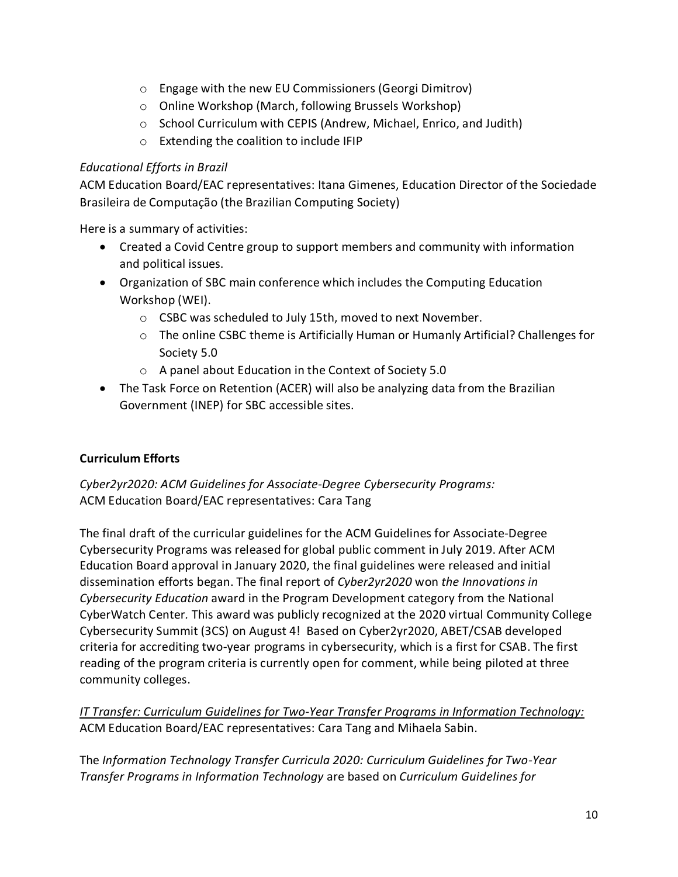- o Engage with the new EU Commissioners (Georgi Dimitrov)
- o Online Workshop (March, following Brussels Workshop)
- o School Curriculum with CEPIS (Andrew, Michael, Enrico, and Judith)
- o Extending the coalition to include IFIP

### *Educational Efforts in Brazil*

ACM Education Board/EAC representatives: Itana Gimenes, Education Director of the Sociedade Brasileira de Computação (the Brazilian Computing Society)

Here is a summary of activities:

- Created a Covid Centre group to support members and community with information and political issues.
- Organization of SBC main conference which includes the Computing Education Workshop (WEI).
	- o CSBC was scheduled to July 15th, moved to next November.
	- o The online CSBC theme is Artificially Human or Humanly Artificial? Challenges for Society 5.0
	- o A panel about Education in the Context of Society 5.0
- The Task Force on Retention (ACER) will also be analyzing data from the Brazilian Government (INEP) for SBC accessible sites.

### **Curriculum Efforts**

*Cyber2yr2020: ACM Guidelines for Associate-Degree Cybersecurity Programs:* ACM Education Board/EAC representatives: Cara Tang

The final draft of the curricular guidelines for the ACM Guidelines for Associate-Degree Cybersecurity Programs was released for global public comment in July 2019. After ACM Education Board approval in January 2020, the final guidelines were released and initial dissemination efforts began. The final report of *Cyber2yr2020* won *the Innovations in Cybersecurity Education* award in the Program Development category from the National CyberWatch Center*.* This award was publicly recognized at the 2020 virtual Community College Cybersecurity Summit (3CS) on August 4! Based on Cyber2yr2020, ABET/CSAB developed criteria for accrediting two-year programs in cybersecurity, which is a first for CSAB. The first reading of the program criteria is currently open for comment, while being piloted at three community colleges.

*IT Transfer: Curriculum Guidelines for Two-Year Transfer Programs in Information Technology:* ACM Education Board/EAC representatives: Cara Tang and Mihaela Sabin.

The *Information Technology Transfer Curricula 2020: Curriculum Guidelines for Two-Year Transfer Programs in Information Technology* are based on *Curriculum Guidelines for*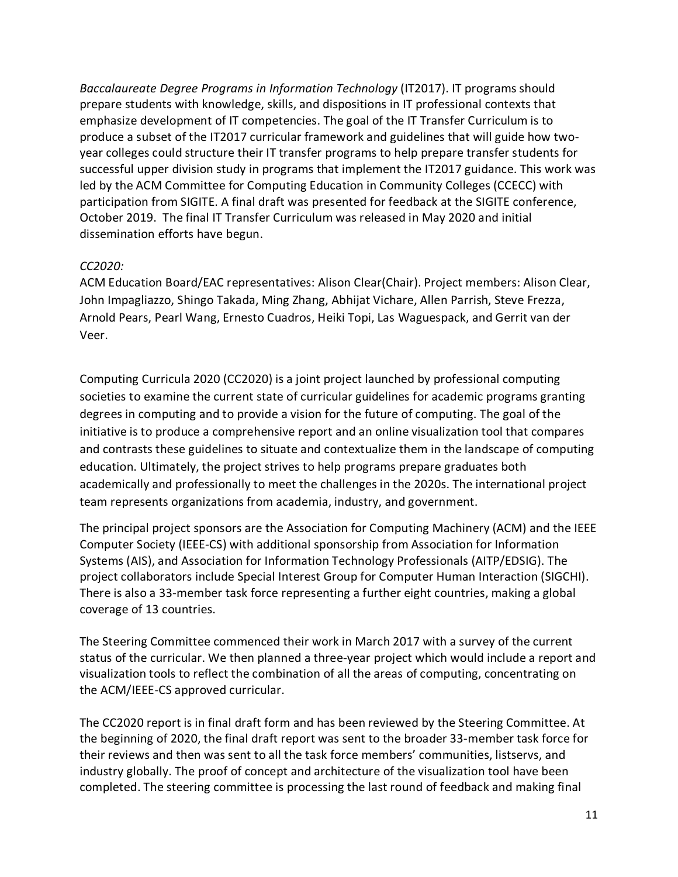*Baccalaureate Degree Programs in Information Technology* (IT2017). IT programs should prepare students with knowledge, skills, and dispositions in IT professional contexts that emphasize development of IT competencies. The goal of the IT Transfer Curriculum is to produce a subset of the IT2017 curricular framework and guidelines that will guide how twoyear colleges could structure their IT transfer programs to help prepare transfer students for successful upper division study in programs that implement the IT2017 guidance. This work was led by the ACM Committee for Computing Education in Community Colleges (CCECC) with participation from SIGITE. A final draft was presented for feedback at the SIGITE conference, October 2019. The final IT Transfer Curriculum was released in May 2020 and initial dissemination efforts have begun.

### *CC2020:*

ACM Education Board/EAC representatives: Alison Clear(Chair). Project members: Alison Clear, John Impagliazzo, Shingo Takada, Ming Zhang, Abhijat Vichare, Allen Parrish, Steve Frezza, Arnold Pears, Pearl Wang, Ernesto Cuadros, Heiki Topi, Las Waguespack, and Gerrit van der Veer.

Computing Curricula 2020 (CC2020) is a joint project launched by professional computing societies to examine the current state of curricular guidelines for academic programs granting degrees in computing and to provide a vision for the future of computing. The goal of the initiative is to produce a comprehensive report and an online visualization tool that compares and contrasts these guidelines to situate and contextualize them in the landscape of computing education. Ultimately, the project strives to help programs prepare graduates both academically and professionally to meet the challenges in the 2020s. The international project team represents organizations from academia, industry, and government.

The principal project sponsors are the Association for Computing Machinery (ACM) and the IEEE Computer Society (IEEE-CS) with additional sponsorship from Association for Information Systems (AIS), and Association for Information Technology Professionals (AITP/EDSIG). The project collaborators include Special Interest Group for Computer Human Interaction (SIGCHI). There is also a 33-member task force representing a further eight countries, making a global coverage of 13 countries.

The Steering Committee commenced their work in March 2017 with a survey of the current status of the curricular. We then planned a three-year project which would include a report and visualization tools to reflect the combination of all the areas of computing, concentrating on the ACM/IEEE-CS approved curricular.

The CC2020 report is in final draft form and has been reviewed by the Steering Committee. At the beginning of 2020, the final draft report was sent to the broader 33-member task force for their reviews and then was sent to all the task force members' communities, listservs, and industry globally. The proof of concept and architecture of the visualization tool have been completed. The steering committee is processing the last round of feedback and making final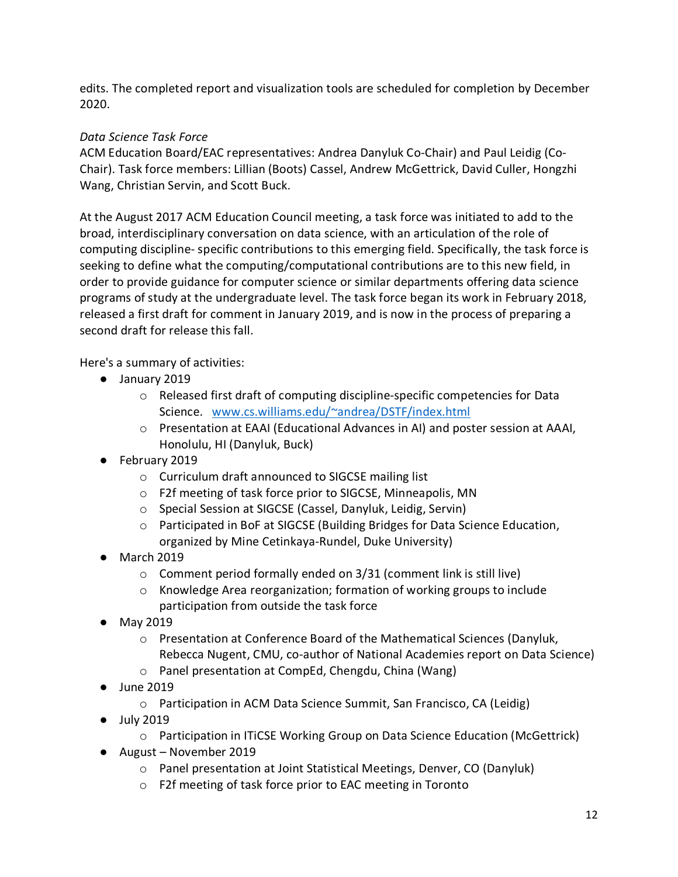edits. The completed report and visualization tools are scheduled for completion by December 2020.

# *Data Science Task Force*

ACM Education Board/EAC representatives: Andrea Danyluk Co-Chair) and Paul Leidig (Co-Chair). Task force members: Lillian (Boots) Cassel, Andrew McGettrick, David Culler, Hongzhi Wang, Christian Servin, and Scott Buck.

At the August 2017 ACM Education Council meeting, a task force was initiated to add to the broad, interdisciplinary conversation on data science, with an articulation of the role of computing discipline- specific contributions to this emerging field. Specifically, the task force is seeking to define what the computing/computational contributions are to this new field, in order to provide guidance for computer science or similar departments offering data science programs of study at the undergraduate level. The task force began its work in February 2018, released a first draft for comment in January 2019, and is now in the process of preparing a second draft for release this fall.

Here's a summary of activities:

- January 2019
	- o Released first draft of computing discipline-specific competencies for Data Science. [www.cs.williams.edu/~andrea/DSTF/index.html](about:blank)
	- o Presentation at EAAI (Educational Advances in AI) and poster session at AAAI, Honolulu, HI (Danyluk, Buck)
- February 2019
	- o Curriculum draft announced to SIGCSE mailing list
	- o F2f meeting of task force prior to SIGCSE, Minneapolis, MN
	- o Special Session at SIGCSE (Cassel, Danyluk, Leidig, Servin)
	- o Participated in BoF at SIGCSE (Building Bridges for Data Science Education, organized by Mine Cetinkaya-Rundel, Duke University)
- March 2019
	- o Comment period formally ended on 3/31 (comment link is still live)
	- o Knowledge Area reorganization; formation of working groups to include participation from outside the task force
- May 2019
	- o Presentation at Conference Board of the Mathematical Sciences (Danyluk, Rebecca Nugent, CMU, co-author of National Academies report on Data Science)
	- o Panel presentation at CompEd, Chengdu, China (Wang)
- June 2019
	- o Participation in ACM Data Science Summit, San Francisco, CA (Leidig)
- July 2019
	- o Participation in ITiCSE Working Group on Data Science Education (McGettrick)
- August November 2019
	- o Panel presentation at Joint Statistical Meetings, Denver, CO (Danyluk)
	- o F2f meeting of task force prior to EAC meeting in Toronto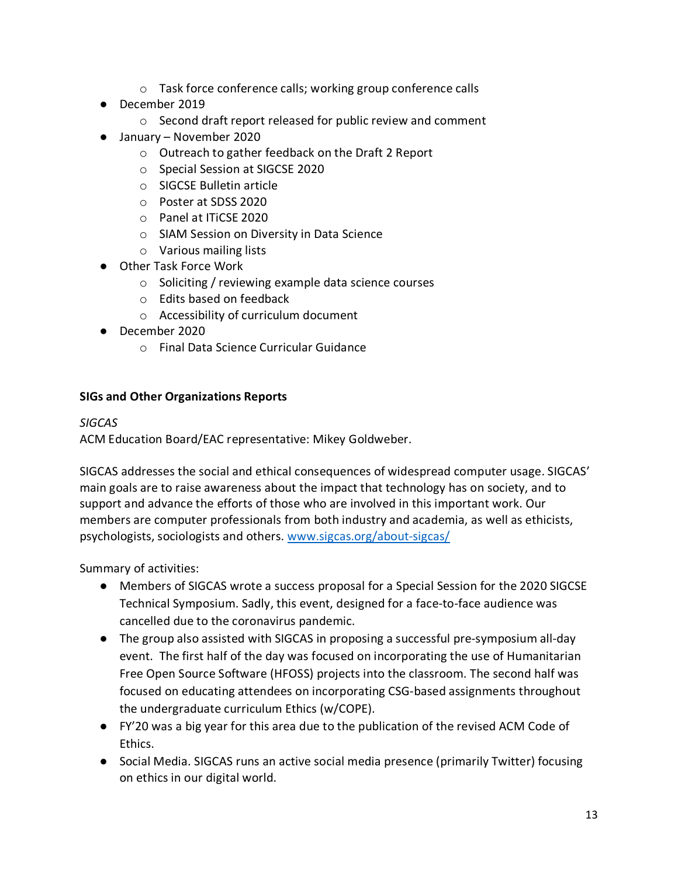- o Task force conference calls; working group conference calls
- December 2019
	- o Second draft report released for public review and comment
- January November 2020
	- o Outreach to gather feedback on the Draft 2 Report
	- o Special Session at SIGCSE 2020
	- o SIGCSE Bulletin article
	- o Poster at SDSS 2020
	- o Panel at ITiCSE 2020
	- o SIAM Session on Diversity in Data Science
	- o Various mailing lists
- Other Task Force Work
	- o Soliciting / reviewing example data science courses
	- o Edits based on feedback
	- o Accessibility of curriculum document
- December 2020
	- o Final Data Science Curricular Guidance

### **SIGs and Other Organizations Reports**

### *SIGCAS*

ACM Education Board/EAC representative: Mikey Goldweber.

SIGCAS addresses the social and ethical consequences of widespread computer usage. SIGCAS' main goals are to raise awareness about the impact that technology has on society, and to support and advance the efforts of those who are involved in this important work. Our members are computer professionals from both industry and academia, as well as ethicists, psychologists, sociologists and others. [www.sigcas.org/about-sigcas/](http://www.sigcas.org/about-sigcas/)

Summary of activities:

- Members of SIGCAS wrote a success proposal for a Special Session for the 2020 SIGCSE Technical Symposium. Sadly, this event, designed for a face-to-face audience was cancelled due to the coronavirus pandemic.
- The group also assisted with SIGCAS in proposing a successful pre-symposium all-day event. The first half of the day was focused on incorporating the use of Humanitarian Free Open Source Software (HFOSS) projects into the classroom. The second half was focused on educating attendees on incorporating CSG-based assignments throughout the undergraduate curriculum Ethics (w/COPE).
- FY'20 was a big year for this area due to the publication of the revised ACM Code of Ethics.
- Social Media. SIGCAS runs an active social media presence (primarily Twitter) focusing on ethics in our digital world.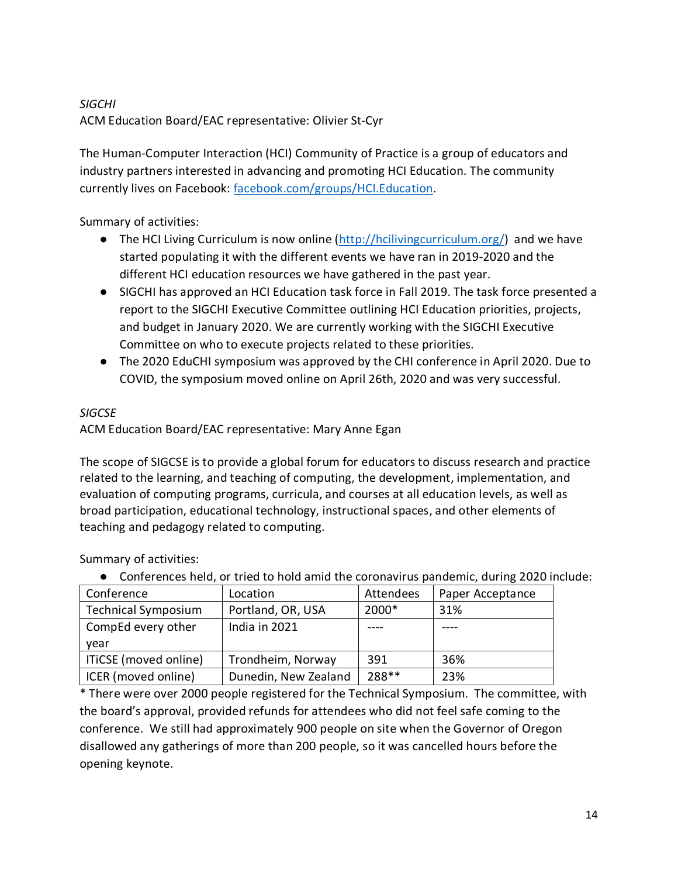# *SIGCHI* ACM Education Board/EAC representative: Olivier St-Cyr

The Human-Computer Interaction (HCI) Community of Practice is a group of educators and industry partners interested in advancing and promoting HCI Education. The community currently lives on Facebook: [facebook.com/groups/HCI.Education.](about:blank)

Summary of activities:

- $\bullet$  The HCI Living Curriculum is now online [\(http://hcilivingcurriculum.org/\)](http://hcilivingcurriculum.org/) and we have started populating it with the different events we have ran in 2019-2020 and the different HCI education resources we have gathered in the past year.
- SIGCHI has approved an HCI Education task force in Fall 2019. The task force presented a report to the SIGCHI Executive Committee outlining HCI Education priorities, projects, and budget in January 2020. We are currently working with the SIGCHI Executive Committee on who to execute projects related to these priorities.
- The 2020 EduCHI symposium was approved by the CHI conference in April 2020. Due to COVID, the symposium moved online on April 26th, 2020 and was very successful.

### *SIGCSE*

ACM Education Board/EAC representative: Mary Anne Egan

The scope of SIGCSE is to provide a global forum for educators to discuss research and practice related to the learning, and teaching of computing, the development, implementation, and evaluation of computing programs, curricula, and courses at all education levels, as well as broad participation, educational technology, instructional spaces, and other elements of teaching and pedagogy related to computing.

Summary of activities:

● Conferences held, or tried to hold amid the coronavirus pandemic, during 2020 include:

| Conference                 | Location             | Attendees | Paper Acceptance |
|----------------------------|----------------------|-----------|------------------|
| <b>Technical Symposium</b> | Portland, OR, USA    | 2000*     | 31%              |
| CompEd every other         | India in 2021        |           |                  |
| year                       |                      |           |                  |
| ITiCSE (moved online)      | Trondheim, Norway    | 391       | 36%              |
| ICER (moved online)        | Dunedin, New Zealand | 288**     | 23%              |

\* There were over 2000 people registered for the Technical Symposium. The committee, with the board's approval, provided refunds for attendees who did not feel safe coming to the conference. We still had approximately 900 people on site when the Governor of Oregon disallowed any gatherings of more than 200 people, so it was cancelled hours before the opening keynote.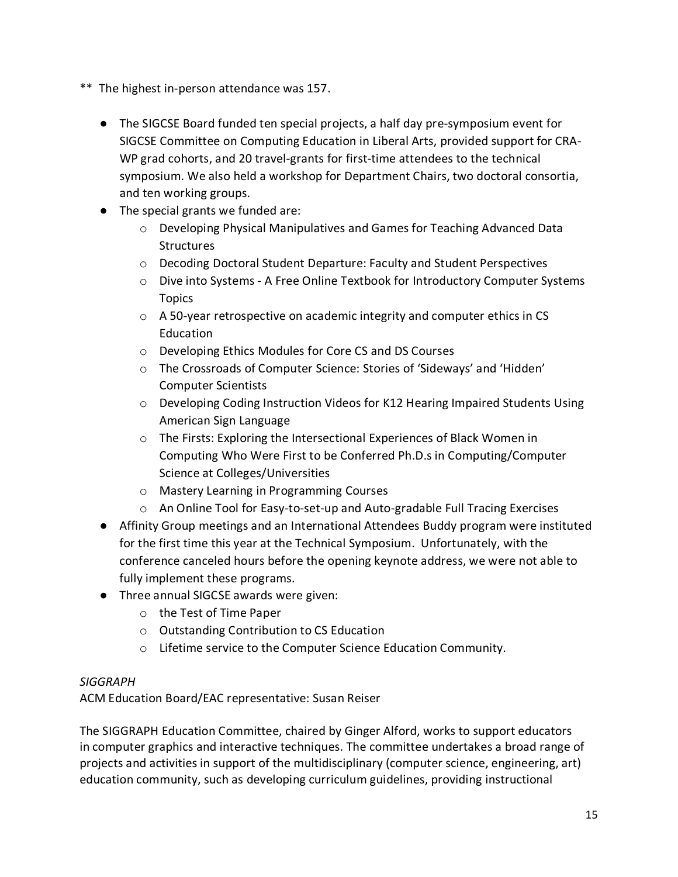- \*\* The highest in-person attendance was 157.
	- The SIGCSE Board funded ten special projects, a half day pre-symposium event for SIGCSE Committee on Computing Education in Liberal Arts, provided support for CRA-WP grad cohorts, and 20 travel-grants for first-time attendees to the technical symposium. We also held a workshop for Department Chairs, two doctoral consortia, and ten working groups.
	- The special grants we funded are:
		- o Developing Physical Manipulatives and Games for Teaching Advanced Data **Structures**
		- o Decoding Doctoral Student Departure: Faculty and Student Perspectives
		- o Dive into Systems A Free Online Textbook for Introductory Computer Systems Topics
		- o A 50-year retrospective on academic integrity and computer ethics in CS Education
		- o Developing Ethics Modules for Core CS and DS Courses
		- o The Crossroads of Computer Science: Stories of 'Sideways' and 'Hidden' Computer Scientists
		- $\circ$  Developing Coding Instruction Videos for K12 Hearing Impaired Students Using American Sign Language
		- o The Firsts: Exploring the Intersectional Experiences of Black Women in Computing Who Were First to be Conferred Ph.D.s in Computing/Computer Science at Colleges/Universities
		- o Mastery Learning in Programming Courses
		- $\circ$  An Online Tool for Easy-to-set-up and Auto-gradable Full Tracing Exercises
	- Affinity Group meetings and an International Attendees Buddy program were instituted for the first time this year at the Technical Symposium. Unfortunately, with the conference canceled hours before the opening keynote address, we were not able to fully implement these programs.
	- Three annual SIGCSE awards were given:
		- o the Test of Time Paper
		- o Outstanding Contribution to CS Education
		- o Lifetime service to the Computer Science Education Community.

### *SIGGRAPH*

ACM Education Board/EAC representative: Susan Reiser

The SIGGRAPH Education Committee, chaired by Ginger Alford, works to support educators in computer graphics and interactive techniques. The committee undertakes a broad range of projects and activities in support of the multidisciplinary (computer science, engineering, art) education community, such as developing curriculum guidelines, providing instructional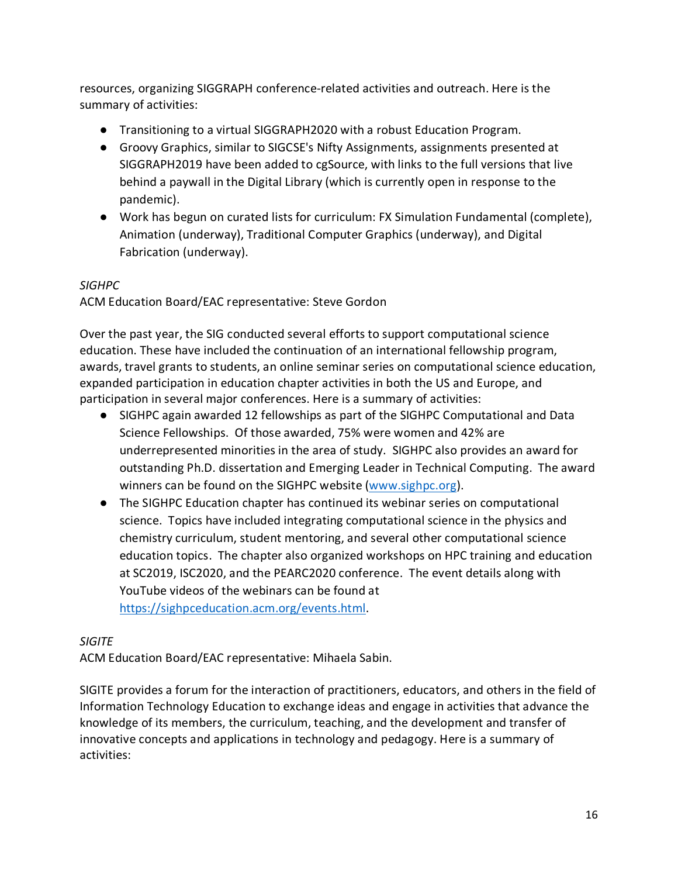resources, organizing SIGGRAPH conference-related activities and outreach. Here is the summary of activities:

- Transitioning to a virtual SIGGRAPH2020 with a robust Education Program.
- Groovy Graphics, similar to SIGCSE's Nifty Assignments, assignments presented at SIGGRAPH2019 have been added to cgSource, with links to the full versions that live behind a paywall in the Digital Library (which is currently open in response to the pandemic).
- Work has begun on curated lists for curriculum: FX Simulation Fundamental (complete), Animation (underway), Traditional Computer Graphics (underway), and Digital Fabrication (underway).

### *SIGHPC*

ACM Education Board/EAC representative: Steve Gordon

Over the past year, the SIG conducted several efforts to support computational science education. These have included the continuation of an international fellowship program, awards, travel grants to students, an online seminar series on computational science education, expanded participation in education chapter activities in both the US and Europe, and participation in several major conferences. Here is a summary of activities:

- SIGHPC again awarded 12 fellowships as part of the SIGHPC Computational and Data Science Fellowships. Of those awarded, 75% were women and 42% are underrepresented minorities in the area of study. SIGHPC also provides an award for outstanding Ph.D. dissertation and Emerging Leader in Technical Computing. The award winners can be found on the SIGHPC website [\(www.sighpc.org\)](http://www.sighpc.org/).
- The SIGHPC Education chapter has continued its webinar series on computational science. Topics have included integrating computational science in the physics and chemistry curriculum, student mentoring, and several other computational science education topics. The chapter also organized workshops on HPC training and education at SC2019, ISC2020, and the PEARC2020 conference. The event details along with YouTube videos of the webinars can be found at [https://sighpceducation.acm.org/events.html.](https://sighpceducation.acm.org/events.html)

# *SIGITE*

ACM Education Board/EAC representative: Mihaela Sabin.

SIGITE provides a forum for the interaction of practitioners, educators, and others in the field of Information Technology Education to exchange ideas and engage in activities that advance the knowledge of its members, the curriculum, teaching, and the development and transfer of innovative concepts and applications in technology and pedagogy. Here is a summary of activities: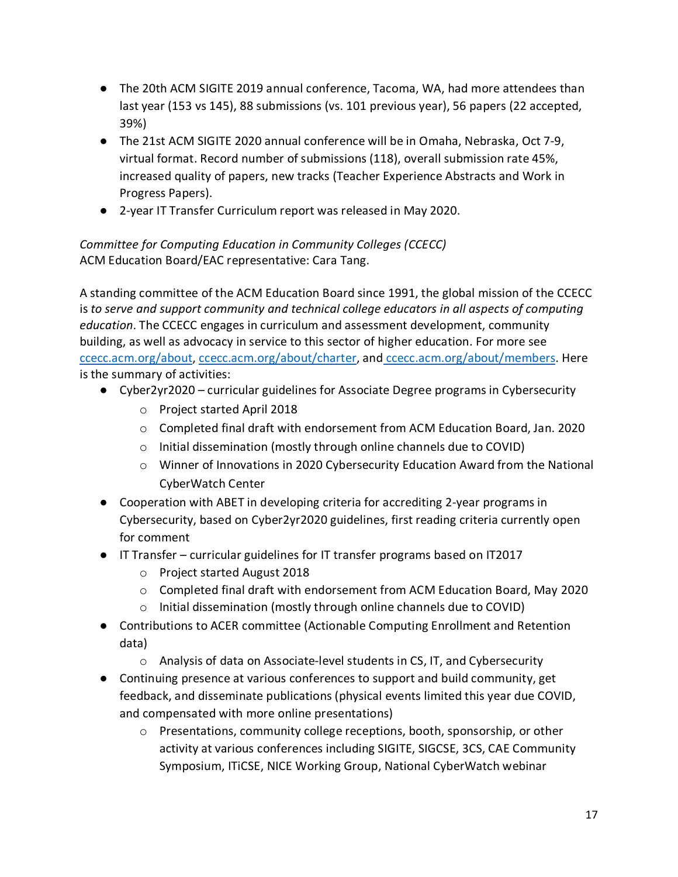- The 20th ACM SIGITE 2019 annual conference, Tacoma, WA, had more attendees than last year (153 vs 145), 88 submissions (vs. 101 previous year), 56 papers (22 accepted, 39%)
- The 21st ACM SIGITE 2020 annual conference will be in Omaha, Nebraska, Oct 7-9, virtual format. Record number of submissions (118), overall submission rate 45%, increased quality of papers, new tracks (Teacher Experience Abstracts and Work in Progress Papers).
- 2-year IT Transfer Curriculum report was released in May 2020.

### *Committee for Computing Education in Community Colleges (CCECC)* ACM Education Board/EAC representative: Cara Tang.

A standing committee of the ACM Education Board since 1991, the global mission of the CCECC is *to serve and support community and technical college educators in all aspects of computing education*. The CCECC engages in curriculum and assessment development, community building, as well as advocacy in service to this sector of higher education. For more see [ccecc.acm.org/about, ccecc.acm.org/about/charter,](about:blank) and [ccecc.acm.org/about/members.](about:blank) Here is the summary of activities:

- Cyber2yr2020 curricular guidelines for Associate Degree programs in Cybersecurity
	- o Project started April 2018
	- $\circ$  Completed final draft with endorsement from ACM Education Board, Jan. 2020
	- $\circ$  Initial dissemination (mostly through online channels due to COVID)
	- o Winner of Innovations in 2020 Cybersecurity Education Award from the National CyberWatch Center
- Cooperation with ABET in developing criteria for accrediting 2-year programs in Cybersecurity, based on Cyber2yr2020 guidelines, first reading criteria currently open for comment
- IT Transfer curricular guidelines for IT transfer programs based on IT2017
	- o Project started August 2018
	- o Completed final draft with endorsement from ACM Education Board, May 2020
	- o Initial dissemination (mostly through online channels due to COVID)
- Contributions to ACER committee (Actionable Computing Enrollment and Retention data)
	- o Analysis of data on Associate-level students in CS, IT, and Cybersecurity
- Continuing presence at various conferences to support and build community, get feedback, and disseminate publications (physical events limited this year due COVID, and compensated with more online presentations)
	- $\circ$  Presentations, community college receptions, booth, sponsorship, or other activity at various conferences including SIGITE, SIGCSE, 3CS, CAE Community Symposium, ITiCSE, NICE Working Group, National CyberWatch webinar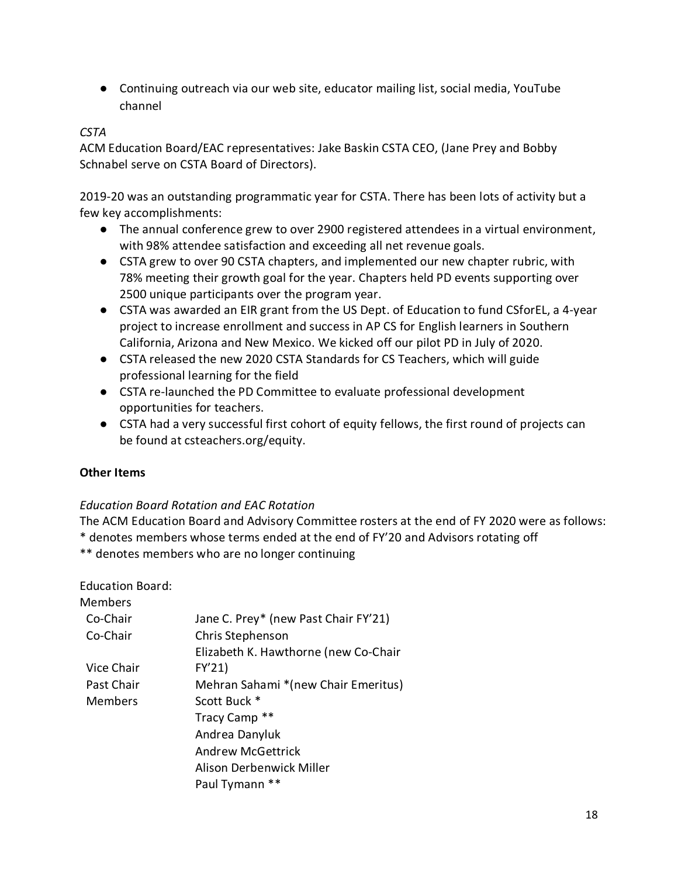● Continuing outreach via our web site, educator mailing list, social media, YouTube channel

### *CSTA*

ACM Education Board/EAC representatives: Jake Baskin CSTA CEO, (Jane Prey and Bobby Schnabel serve on CSTA Board of Directors).

2019-20 was an outstanding programmatic year for CSTA. There has been lots of activity but a few key accomplishments:

- The annual conference grew to over 2900 registered attendees in a virtual environment, with 98% attendee satisfaction and exceeding all net revenue goals.
- CSTA grew to over 90 CSTA chapters, and implemented our new chapter rubric, with 78% meeting their growth goal for the year. Chapters held PD events supporting over 2500 unique participants over the program year.
- CSTA was awarded an EIR grant from the US Dept. of Education to fund CSforEL, a 4-year project to increase enrollment and success in AP CS for English learners in Southern California, Arizona and New Mexico. We kicked off our pilot PD in July of 2020.
- CSTA released the new 2020 CSTA Standards for CS Teachers, which will guide professional learning for the field
- CSTA re-launched the PD Committee to evaluate professional development opportunities for teachers.
- CSTA had a very successful first cohort of equity fellows, the first round of projects can be found at csteachers.org/equity.

# **Other Items**

### *Education Board Rotation and EAC Rotation*

The ACM Education Board and Advisory Committee rosters at the end of FY 2020 were as follows: \* denotes members whose terms ended at the end of FY'20 and Advisors rotating off

\*\* denotes members who are no longer continuing

Education Board:

| <b>Members</b> |                                      |
|----------------|--------------------------------------|
| Co-Chair       | Jane C. Prey* (new Past Chair FY'21) |
| Co-Chair       | Chris Stephenson                     |
|                | Elizabeth K. Hawthorne (new Co-Chair |
| Vice Chair     | FY'21)                               |
| Past Chair     | Mehran Sahami * (new Chair Emeritus) |
| Members        | Scott Buck *                         |
|                | Tracy Camp **                        |
|                | Andrea Danyluk                       |
|                | <b>Andrew McGettrick</b>             |
|                | Alison Derbenwick Miller             |
|                | Paul Tymann                          |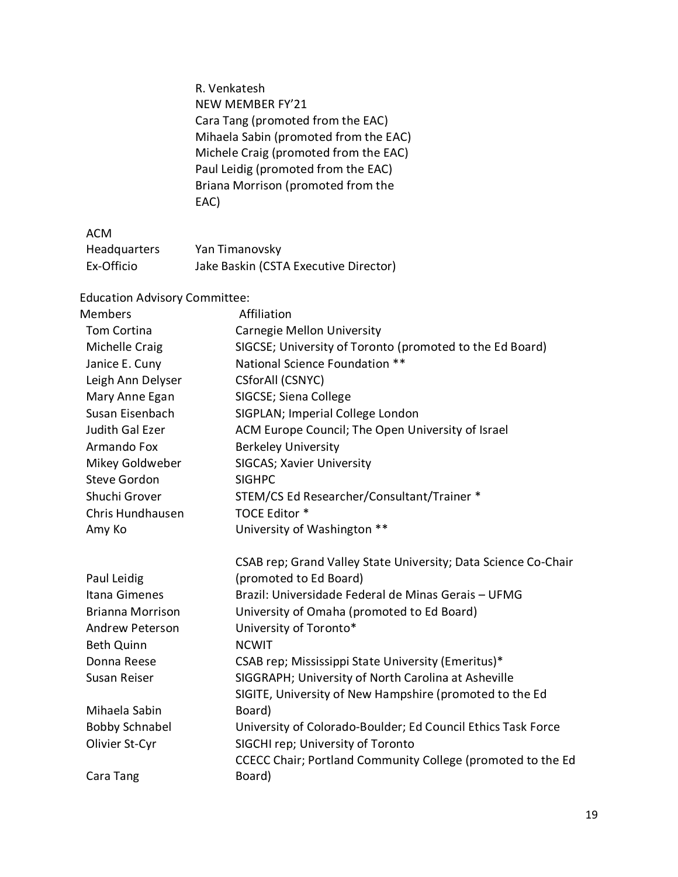R. Venkatesh NEW MEMBER FY'21 Cara Tang (promoted from the EAC) Mihaela Sabin (promoted from the EAC) Michele Craig (promoted from the EAC) Paul Leidig (promoted from the EAC) Briana Morrison (promoted from the EAC)

ACM Headquarters Yan Timanovsky Ex-Officio Jake Baskin (CSTA Executive Director)

### Education Advisory Committee:

| <b>Members</b>          | Affiliation                                                    |
|-------------------------|----------------------------------------------------------------|
| Tom Cortina             | <b>Carnegie Mellon University</b>                              |
| Michelle Craig          | SIGCSE; University of Toronto (promoted to the Ed Board)       |
| Janice E. Cuny          | National Science Foundation **                                 |
| Leigh Ann Delyser       | CSforAll (CSNYC)                                               |
| Mary Anne Egan          | SIGCSE; Siena College                                          |
| Susan Eisenbach         | SIGPLAN; Imperial College London                               |
| <b>Judith Gal Ezer</b>  | ACM Europe Council; The Open University of Israel              |
| Armando Fox             | <b>Berkeley University</b>                                     |
| Mikey Goldweber         | SIGCAS; Xavier University                                      |
| <b>Steve Gordon</b>     | <b>SIGHPC</b>                                                  |
| Shuchi Grover           | STEM/CS Ed Researcher/Consultant/Trainer *                     |
| Chris Hundhausen        | TOCE Editor *                                                  |
| Amy Ko                  | University of Washington **                                    |
|                         | CSAB rep; Grand Valley State University; Data Science Co-Chair |
| Paul Leidig             | (promoted to Ed Board)                                         |
| Itana Gimenes           | Brazil: Universidade Federal de Minas Gerais - UFMG            |
| <b>Brianna Morrison</b> | University of Omaha (promoted to Ed Board)                     |
| <b>Andrew Peterson</b>  | University of Toronto*                                         |
| <b>Beth Quinn</b>       | <b>NCWIT</b>                                                   |
| Donna Reese             | CSAB rep; Mississippi State University (Emeritus)*             |
| Susan Reiser            | SIGGRAPH; University of North Carolina at Asheville            |
|                         | SIGITE, University of New Hampshire (promoted to the Ed        |
| Mihaela Sabin           | Board)                                                         |
| <b>Bobby Schnabel</b>   | University of Colorado-Boulder; Ed Council Ethics Task Force   |
| Olivier St-Cyr          | SIGCHI rep; University of Toronto                              |
|                         | CCECC Chair; Portland Community College (promoted to the Ed    |
| Cara Tang               | Board)                                                         |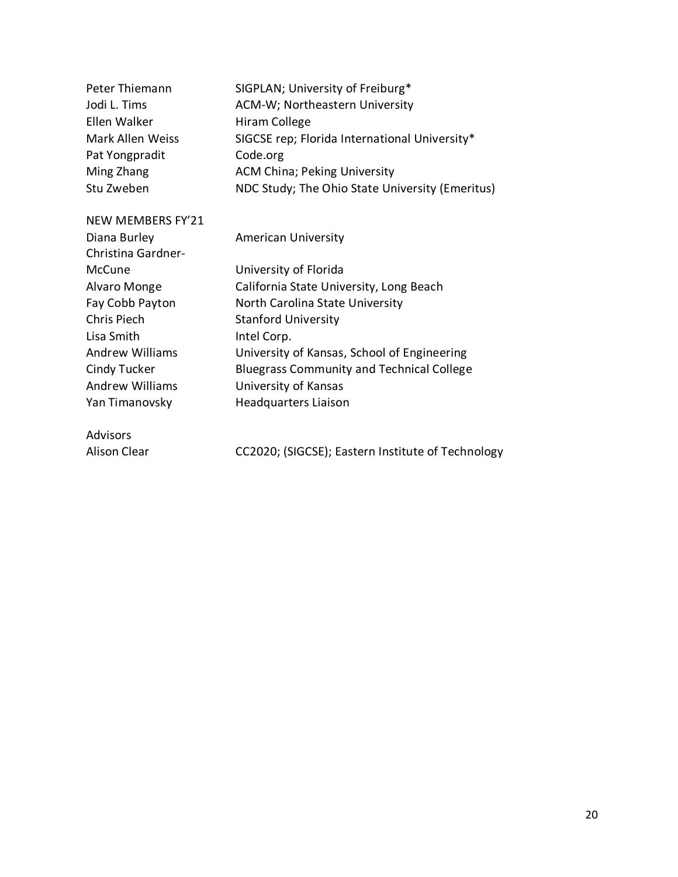| Peter Thiemann<br>Jodi L. Tims<br>Ellen Walker<br><b>Mark Allen Weiss</b><br>Pat Yongpradit | SIGPLAN; University of Freiburg*<br>ACM-W; Northeastern University<br><b>Hiram College</b><br>SIGCSE rep; Florida International University*<br>Code.org |
|---------------------------------------------------------------------------------------------|---------------------------------------------------------------------------------------------------------------------------------------------------------|
| Ming Zhang                                                                                  | <b>ACM China; Peking University</b>                                                                                                                     |
| Stu Zweben                                                                                  | NDC Study; The Ohio State University (Emeritus)                                                                                                         |
| NEW MEMBERS FY'21<br>Diana Burley                                                           | <b>American University</b>                                                                                                                              |
| Christina Gardner-                                                                          |                                                                                                                                                         |
| McCune                                                                                      | University of Florida                                                                                                                                   |
| Alvaro Monge                                                                                | California State University, Long Beach                                                                                                                 |
| Fay Cobb Payton                                                                             | North Carolina State University                                                                                                                         |
| Chris Piech                                                                                 | <b>Stanford University</b>                                                                                                                              |
| Lisa Smith                                                                                  | Intel Corp.                                                                                                                                             |
| <b>Andrew Williams</b>                                                                      | University of Kansas, School of Engineering                                                                                                             |
| <b>Cindy Tucker</b>                                                                         | <b>Bluegrass Community and Technical College</b>                                                                                                        |
| <b>Andrew Williams</b>                                                                      | University of Kansas                                                                                                                                    |
| Yan Timanovsky                                                                              | Headquarters Liaison                                                                                                                                    |
| <b>Advisors</b>                                                                             |                                                                                                                                                         |
| <b>Alison Clear</b>                                                                         | CC2020; (SIGCSE); Eastern Institute of Technology                                                                                                       |
|                                                                                             |                                                                                                                                                         |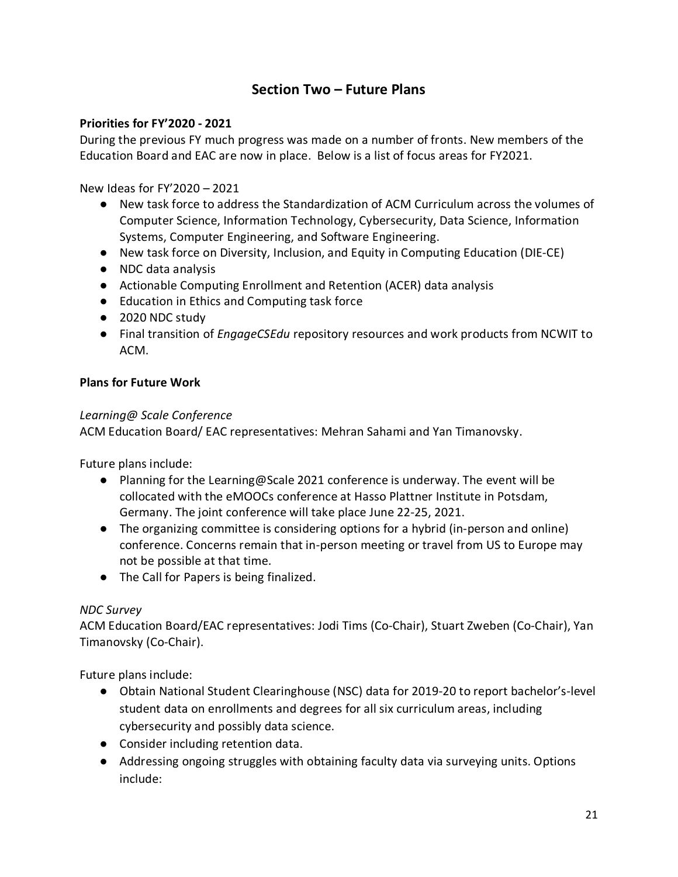# **Section Two – Future Plans**

### **Priorities for FY'2020 - 2021**

During the previous FY much progress was made on a number of fronts. New members of the Education Board and EAC are now in place. Below is a list of focus areas for FY2021.

New Ideas for FY'2020 – 2021

- New task force to address the Standardization of ACM Curriculum across the volumes of Computer Science, Information Technology, Cybersecurity, Data Science, Information Systems, Computer Engineering, and Software Engineering.
- New task force on Diversity, Inclusion, and Equity in Computing Education (DIE-CE)
- NDC data analysis
- Actionable Computing Enrollment and Retention (ACER) data analysis
- Education in Ethics and Computing task force
- 2020 NDC study
- Final transition of *EngageCSEdu* repository resources and work products from NCWIT to ACM.

### **Plans for Future Work**

### *Learning@ Scale Conference*

ACM Education Board/ EAC representatives: Mehran Sahami and Yan Timanovsky.

Future plans include:

- Planning for the Learning@Scale 2021 conference is underway. The event will be collocated with the eMOOCs conference at Hasso Plattner Institute in Potsdam, Germany. The joint conference will take place June 22-25, 2021.
- The organizing committee is considering options for a hybrid (in-person and online) conference. Concerns remain that in-person meeting or travel from US to Europe may not be possible at that time.
- The Call for Papers is being finalized.

### *NDC Survey*

ACM Education Board/EAC representatives: Jodi Tims (Co-Chair), Stuart Zweben (Co-Chair), Yan Timanovsky (Co-Chair).

Future plans include:

- Obtain National Student Clearinghouse (NSC) data for 2019-20 to report bachelor's-level student data on enrollments and degrees for all six curriculum areas, including cybersecurity and possibly data science.
- Consider including retention data.
- Addressing ongoing struggles with obtaining faculty data via surveying units. Options include: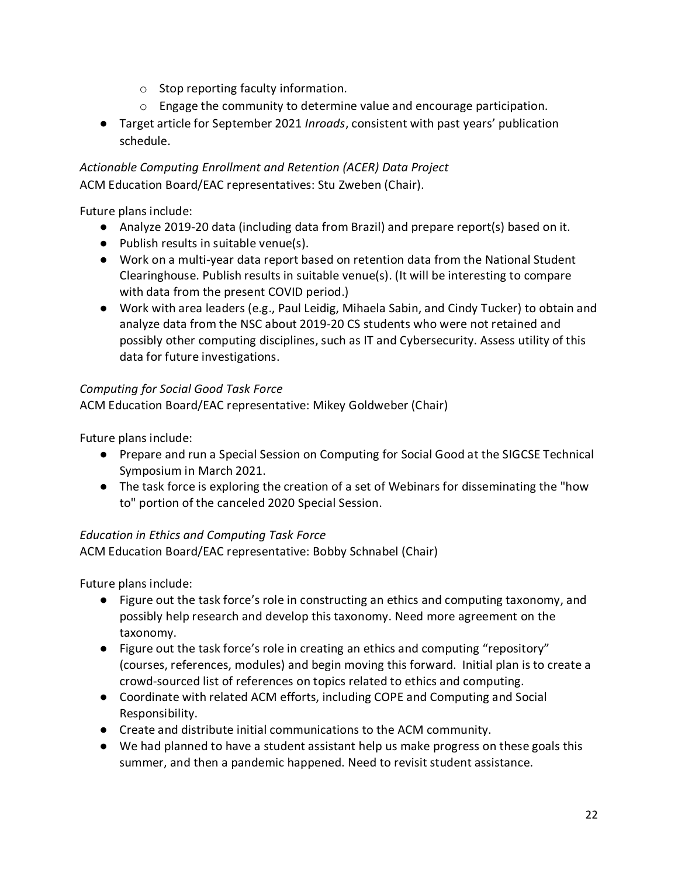- o Stop reporting faculty information.
- o Engage the community to determine value and encourage participation.
- Target article for September 2021 *Inroads*, consistent with past years' publication schedule.

*Actionable Computing Enrollment and Retention (ACER) Data Project* ACM Education Board/EAC representatives: Stu Zweben (Chair).

Future plans include:

- Analyze 2019-20 data (including data from Brazil) and prepare report(s) based on it.
- Publish results in suitable venue(s).
- Work on a multi-year data report based on retention data from the National Student Clearinghouse. Publish results in suitable venue(s). (It will be interesting to compare with data from the present COVID period.)
- Work with area leaders (e.g., Paul Leidig, Mihaela Sabin, and Cindy Tucker) to obtain and analyze data from the NSC about 2019-20 CS students who were not retained and possibly other computing disciplines, such as IT and Cybersecurity. Assess utility of this data for future investigations.

### *Computing for Social Good Task Force*

ACM Education Board/EAC representative: Mikey Goldweber (Chair)

Future plans include:

- Prepare and run a Special Session on Computing for Social Good at the SIGCSE Technical Symposium in March 2021.
- The task force is exploring the creation of a set of Webinars for disseminating the "how to" portion of the canceled 2020 Special Session.

### *Education in Ethics and Computing Task Force*

ACM Education Board/EAC representative: Bobby Schnabel (Chair)

Future plans include:

- Figure out the task force's role in constructing an ethics and computing taxonomy, and possibly help research and develop this taxonomy. Need more agreement on the taxonomy.
- Figure out the task force's role in creating an ethics and computing "repository" (courses, references, modules) and begin moving this forward. Initial plan is to create a crowd-sourced list of references on topics related to ethics and computing.
- Coordinate with related ACM efforts, including COPE and Computing and Social Responsibility.
- Create and distribute initial communications to the ACM community.
- We had planned to have a student assistant help us make progress on these goals this summer, and then a pandemic happened. Need to revisit student assistance.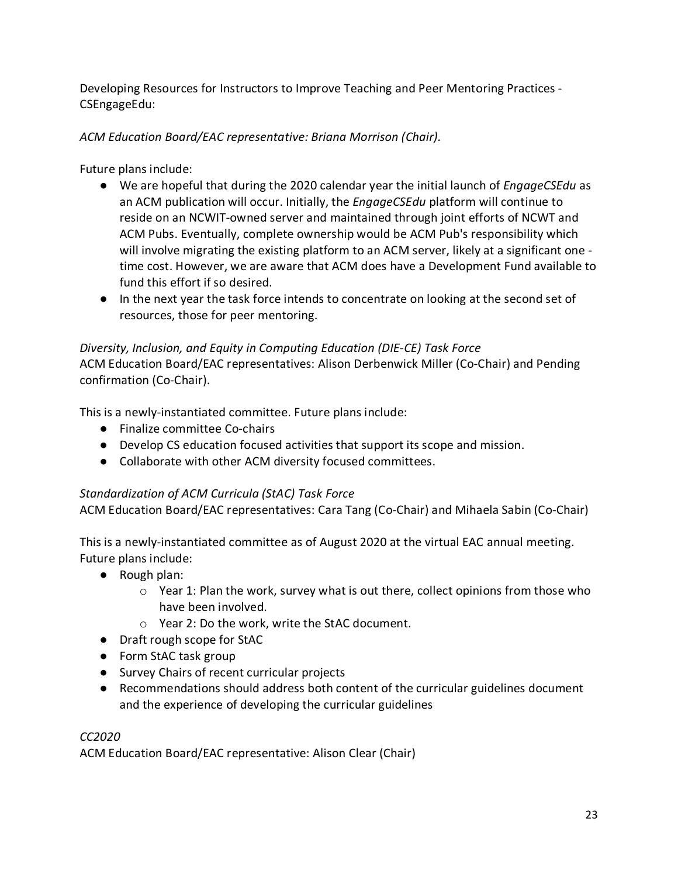Developing Resources for Instructors to Improve Teaching and Peer Mentoring Practices - CSEngageEdu:

# *ACM Education Board/EAC representative: Briana Morrison (Chair).*

Future plans include:

- We are hopeful that during the 2020 calendar year the initial launch of *EngageCSEdu* as an ACM publication will occur. Initially, the *EngageCSEdu* platform will continue to reside on an NCWIT-owned server and maintained through joint efforts of NCWT and ACM Pubs. Eventually, complete ownership would be ACM Pub's responsibility which will involve migrating the existing platform to an ACM server, likely at a significant one time cost. However, we are aware that ACM does have a Development Fund available to fund this effort if so desired.
- In the next year the task force intends to concentrate on looking at the second set of resources, those for peer mentoring.

# *Diversity, Inclusion, and Equity in Computing Education (DIE-CE) Task Force* ACM Education Board/EAC representatives: Alison Derbenwick Miller (Co-Chair) and Pending confirmation (Co-Chair).

This is a newly-instantiated committee. Future plans include:

- Finalize committee Co-chairs
- Develop CS education focused activities that support its scope and mission.
- Collaborate with other ACM diversity focused committees.

# *Standardization of ACM Curricula (StAC) Task Force*

ACM Education Board/EAC representatives: Cara Tang (Co-Chair) and Mihaela Sabin (Co-Chair)

This is a newly-instantiated committee as of August 2020 at the virtual EAC annual meeting. Future plans include:

- Rough plan:
	- $\circ$  Year 1: Plan the work, survey what is out there, collect opinions from those who have been involved.
	- o Year 2: Do the work, write the StAC document.
- Draft rough scope for StAC
- Form StAC task group
- Survey Chairs of recent curricular projects
- Recommendations should address both content of the curricular guidelines document and the experience of developing the curricular guidelines

# *CC2020*

ACM Education Board/EAC representative: Alison Clear (Chair)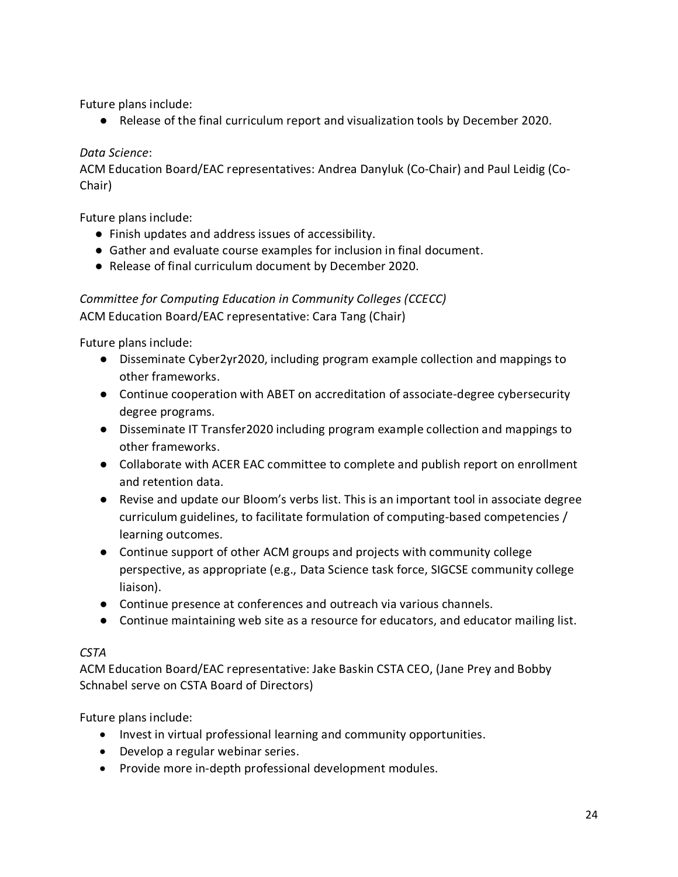Future plans include:

● Release of the final curriculum report and visualization tools by December 2020.

### *Data Science*:

ACM Education Board/EAC representatives: Andrea Danyluk (Co-Chair) and Paul Leidig (Co-Chair)

Future plans include:

- Finish updates and address issues of accessibility.
- Gather and evaluate course examples for inclusion in final document.
- Release of final curriculum document by December 2020.

# *Committee for Computing Education in Community Colleges (CCECC)* ACM Education Board/EAC representative: Cara Tang (Chair)

Future plans include:

- Disseminate Cyber2yr2020, including program example collection and mappings to other frameworks.
- Continue cooperation with ABET on accreditation of associate-degree cybersecurity degree programs.
- Disseminate IT Transfer2020 including program example collection and mappings to other frameworks.
- Collaborate with ACER EAC committee to complete and publish report on enrollment and retention data.
- Revise and update our Bloom's verbs list. This is an important tool in associate degree curriculum guidelines, to facilitate formulation of computing-based competencies / learning outcomes.
- Continue support of other ACM groups and projects with community college perspective, as appropriate (e.g., Data Science task force, SIGCSE community college liaison).
- Continue presence at conferences and outreach via various channels.
- Continue maintaining web site as a resource for educators, and educator mailing list.

# *CSTA*

ACM Education Board/EAC representative: Jake Baskin CSTA CEO, (Jane Prey and Bobby Schnabel serve on CSTA Board of Directors)

Future plans include:

- Invest in virtual professional learning and community opportunities.
- Develop a regular webinar series.
- Provide more in-depth professional development modules.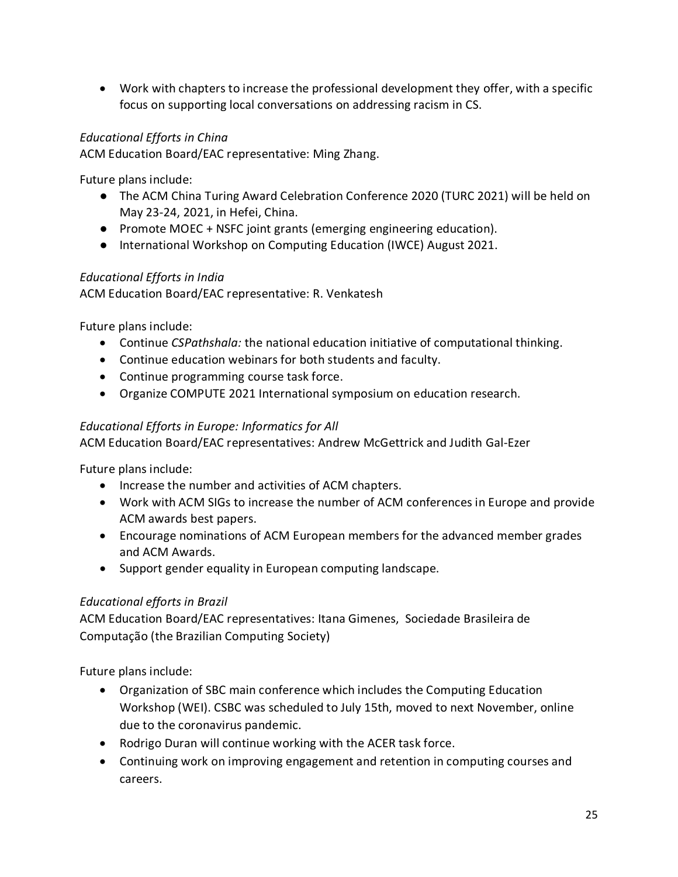• Work with chapters to increase the professional development they offer, with a specific focus on supporting local conversations on addressing racism in CS.

# *Educational Efforts in China*

ACM Education Board/EAC representative: Ming Zhang.

Future plans include:

- The ACM China Turing Award Celebration Conference 2020 (TURC 2021) will be held on May 23-24, 2021, in Hefei, China.
- Promote MOEC + NSFC joint grants (emerging engineering education).
- International Workshop on Computing Education (IWCE) August 2021.

### *Educational Efforts in India*

ACM Education Board/EAC representative: R. Venkatesh

Future plans include:

- Continue *CSPathshala:* the national education initiative of computational thinking.
- Continue education webinars for both students and faculty.
- Continue programming course task force.
- Organize COMPUTE 2021 International symposium on education research.

### *Educational Efforts in Europe: Informatics for All*

ACM Education Board/EAC representatives: Andrew McGettrick and Judith Gal-Ezer

Future plans include:

- Increase the number and activities of ACM chapters.
- Work with ACM SIGs to increase the number of ACM conferences in Europe and provide ACM awards best papers.
- Encourage nominations of ACM European members for the advanced member grades and ACM Awards.
- Support gender equality in European computing landscape.

# *Educational efforts in Brazil*

ACM Education Board/EAC representatives: Itana Gimenes, Sociedade Brasileira de Computação (the Brazilian Computing Society)

Future plans include:

- Organization of SBC main conference which includes the Computing Education Workshop (WEI). CSBC was scheduled to July 15th, moved to next November, online due to the coronavirus pandemic.
- Rodrigo Duran will continue working with the ACER task force.
- Continuing work on improving engagement and retention in computing courses and careers.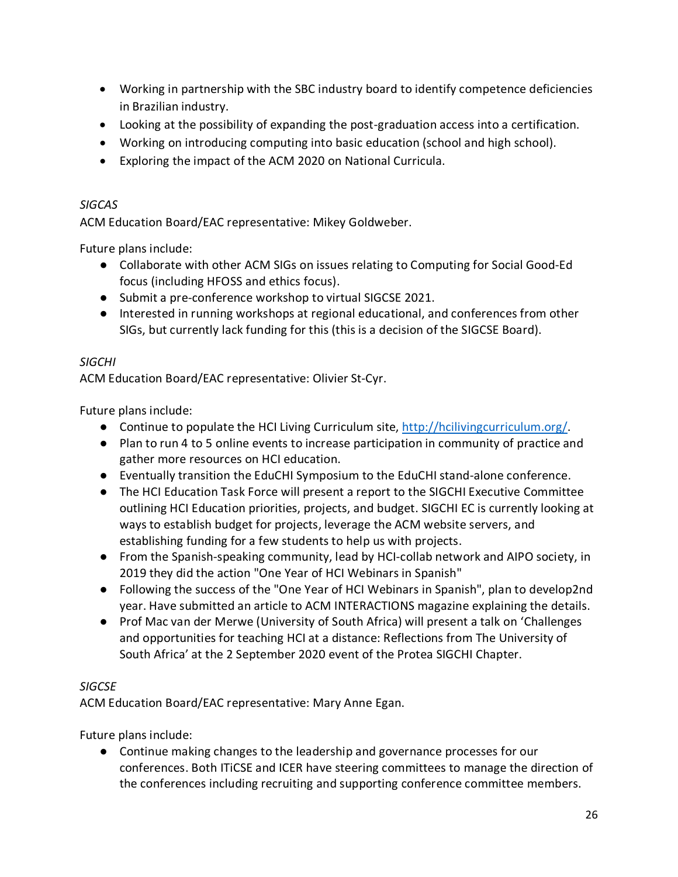- Working in partnership with the SBC industry board to identify competence deficiencies in Brazilian industry.
- Looking at the possibility of expanding the post-graduation access into a certification.
- Working on introducing computing into basic education (school and high school).
- Exploring the impact of the ACM 2020 on National Curricula.

### *SIGCAS*

ACM Education Board/EAC representative: Mikey Goldweber.

Future plans include:

- Collaborate with other ACM SIGs on issues relating to Computing for Social Good-Ed focus (including HFOSS and ethics focus).
- Submit a pre-conference workshop to virtual SIGCSE 2021.
- Interested in running workshops at regional educational, and conferences from other SIGs, but currently lack funding for this (this is a decision of the SIGCSE Board).

### *SIGCHI*

ACM Education Board/EAC representative: Olivier St-Cyr.

Future plans include:

- Continue to populate the HCI Living Curriculum site, [http://hcilivingcurriculum.org/.](http://hcilivingcurriculum.org/)
- Plan to run 4 to 5 online events to increase participation in community of practice and gather more resources on HCI education.
- Eventually transition the EduCHI Symposium to the EduCHI stand-alone conference.
- The HCI Education Task Force will present a report to the SIGCHI Executive Committee outlining HCI Education priorities, projects, and budget. SIGCHI EC is currently looking at ways to establish budget for projects, leverage the ACM website servers, and establishing funding for a few students to help us with projects.
- From the Spanish-speaking community, lead by HCI-collab network and AIPO society, in 2019 they did the action "One Year of HCI Webinars in Spanish"
- Following the success of the "One Year of HCI Webinars in Spanish", plan to develop2nd year. Have submitted an article to ACM INTERACTIONS magazine explaining the details.
- Prof Mac van der Merwe (University of South Africa) will present a talk on 'Challenges and opportunities for teaching HCI at a distance: Reflections from The University of South Africa' at the 2 September 2020 event of the Protea SIGCHI Chapter.

# *SIGCSE*

ACM Education Board/EAC representative: Mary Anne Egan.

Future plans include:

● Continue making changes to the leadership and governance processes for our conferences. Both ITiCSE and ICER have steering committees to manage the direction of the conferences including recruiting and supporting conference committee members.